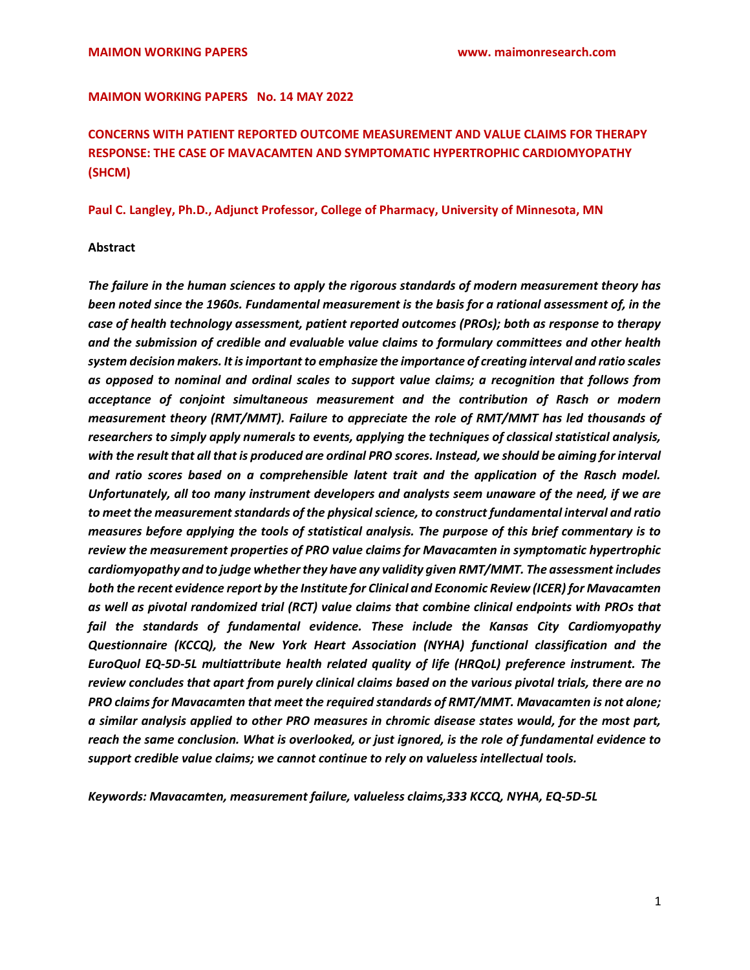#### MAIMON WORKING PAPERS No. 14 MAY 2022

# CONCERNS WITH PATIENT REPORTED OUTCOME MEASUREMENT AND VALUE CLAIMS FOR THERAPY RESPONSE: THE CASE OF MAVACAMTEN AND SYMPTOMATIC HYPERTROPHIC CARDIOMYOPATHY (SHCM)

#### Paul C. Langley, Ph.D., Adjunct Professor, College of Pharmacy, University of Minnesota, MN

### Abstract

The failure in the human sciences to apply the rigorous standards of modern measurement theory has been noted since the 1960s. Fundamental measurement is the basis for a rational assessment of, in the case of health technology assessment, patient reported outcomes (PROs); both as response to therapy and the submission of credible and evaluable value claims to formulary committees and other health system decision makers. It is important to emphasize the importance of creating interval and ratio scales as opposed to nominal and ordinal scales to support value claims; a recognition that follows from acceptance of conjoint simultaneous measurement and the contribution of Rasch or modern measurement theory (RMT/MMT). Failure to appreciate the role of RMT/MMT has led thousands of researchers to simply apply numerals to events, applying the techniques of classical statistical analysis, with the result that all that is produced are ordinal PRO scores. Instead, we should be aiming for interval and ratio scores based on a comprehensible latent trait and the application of the Rasch model. Unfortunately, all too many instrument developers and analysts seem unaware of the need, if we are to meet the measurement standards of the physical science, to construct fundamental interval and ratio measures before applying the tools of statistical analysis. The purpose of this brief commentary is to review the measurement properties of PRO value claims for Mavacamten in symptomatic hypertrophic cardiomyopathy and to judge whether they have any validity given RMT/MMT. The assessment includes both the recent evidence report by the Institute for Clinical and Economic Review (ICER) for Mavacamten as well as pivotal randomized trial (RCT) value claims that combine clinical endpoints with PROs that fail the standards of fundamental evidence. These include the Kansas City Cardiomyopathy Questionnaire (KCCQ), the New York Heart Association (NYHA) functional classification and the EuroQuol EQ-5D-5L multiattribute health related quality of life (HRQoL) preference instrument. The review concludes that apart from purely clinical claims based on the various pivotal trials, there are no PRO claims for Mavacamten that meet the required standards of RMT/MMT. Mavacamten is not alone; a similar analysis applied to other PRO measures in chromic disease states would, for the most part, reach the same conclusion. What is overlooked, or just ignored, is the role of fundamental evidence to support credible value claims; we cannot continue to rely on valueless intellectual tools.

Keywords: Mavacamten, measurement failure, valueless claims,333 KCCQ, NYHA, EQ-5D-5L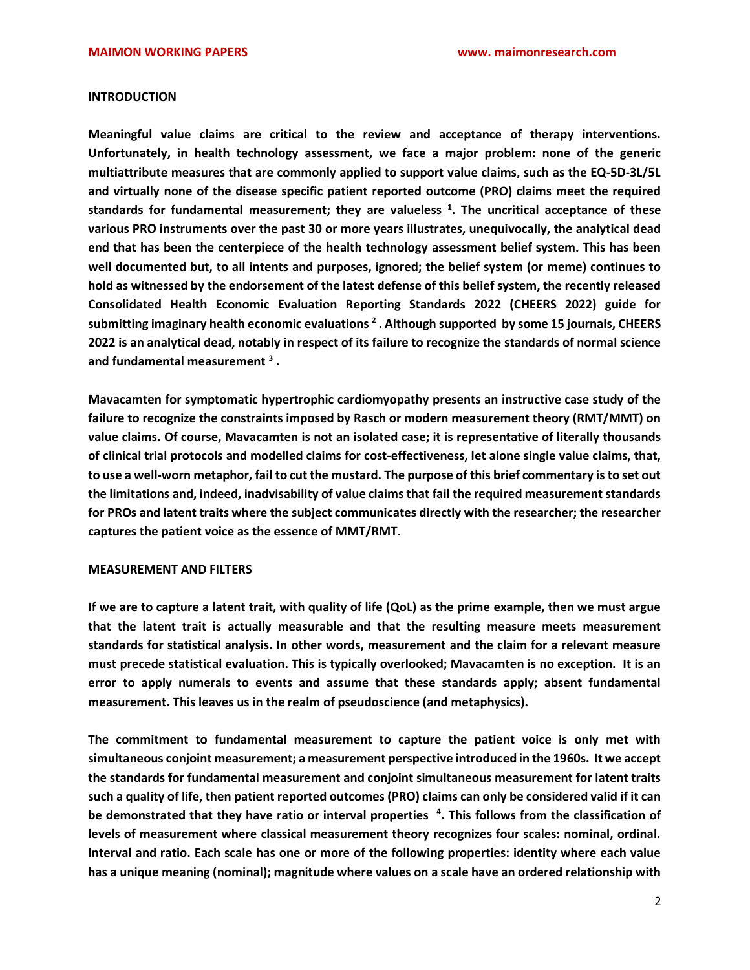#### **INTRODUCTION**

Meaningful value claims are critical to the review and acceptance of therapy interventions. Unfortunately, in health technology assessment, we face a major problem: none of the generic multiattribute measures that are commonly applied to support value claims, such as the EQ-5D-3L/5L and virtually none of the disease specific patient reported outcome (PRO) claims meet the required standards for fundamental measurement; they are valueless  $^1$ . The uncritical acceptance of these various PRO instruments over the past 30 or more years illustrates, unequivocally, the analytical dead end that has been the centerpiece of the health technology assessment belief system. This has been well documented but, to all intents and purposes, ignored; the belief system (or meme) continues to hold as witnessed by the endorsement of the latest defense of this belief system, the recently released Consolidated Health Economic Evaluation Reporting Standards 2022 (CHEERS 2022) guide for submitting imaginary health economic evaluations <sup>2</sup> . Although supported by some 15 journals, CHEERS 2022 is an analytical dead, notably in respect of its failure to recognize the standards of normal science and fundamental measurement  $^3$  .

Mavacamten for symptomatic hypertrophic cardiomyopathy presents an instructive case study of the failure to recognize the constraints imposed by Rasch or modern measurement theory (RMT/MMT) on value claims. Of course, Mavacamten is not an isolated case; it is representative of literally thousands of clinical trial protocols and modelled claims for cost-effectiveness, let alone single value claims, that, to use a well-worn metaphor, fail to cut the mustard. The purpose of this brief commentary is to set out the limitations and, indeed, inadvisability of value claims that fail the required measurement standards for PROs and latent traits where the subject communicates directly with the researcher; the researcher captures the patient voice as the essence of MMT/RMT.

## MEASUREMENT AND FILTERS

If we are to capture a latent trait, with quality of life (QoL) as the prime example, then we must argue that the latent trait is actually measurable and that the resulting measure meets measurement standards for statistical analysis. In other words, measurement and the claim for a relevant measure must precede statistical evaluation. This is typically overlooked; Mavacamten is no exception. It is an error to apply numerals to events and assume that these standards apply; absent fundamental measurement. This leaves us in the realm of pseudoscience (and metaphysics).

The commitment to fundamental measurement to capture the patient voice is only met with simultaneous conjoint measurement; a measurement perspective introduced in the 1960s. It we accept the standards for fundamental measurement and conjoint simultaneous measurement for latent traits such a quality of life, then patient reported outcomes (PRO) claims can only be considered valid if it can be demonstrated that they have ratio or interval properties <sup>4</sup>. This follows from the classification of levels of measurement where classical measurement theory recognizes four scales: nominal, ordinal. Interval and ratio. Each scale has one or more of the following properties: identity where each value has a unique meaning (nominal); magnitude where values on a scale have an ordered relationship with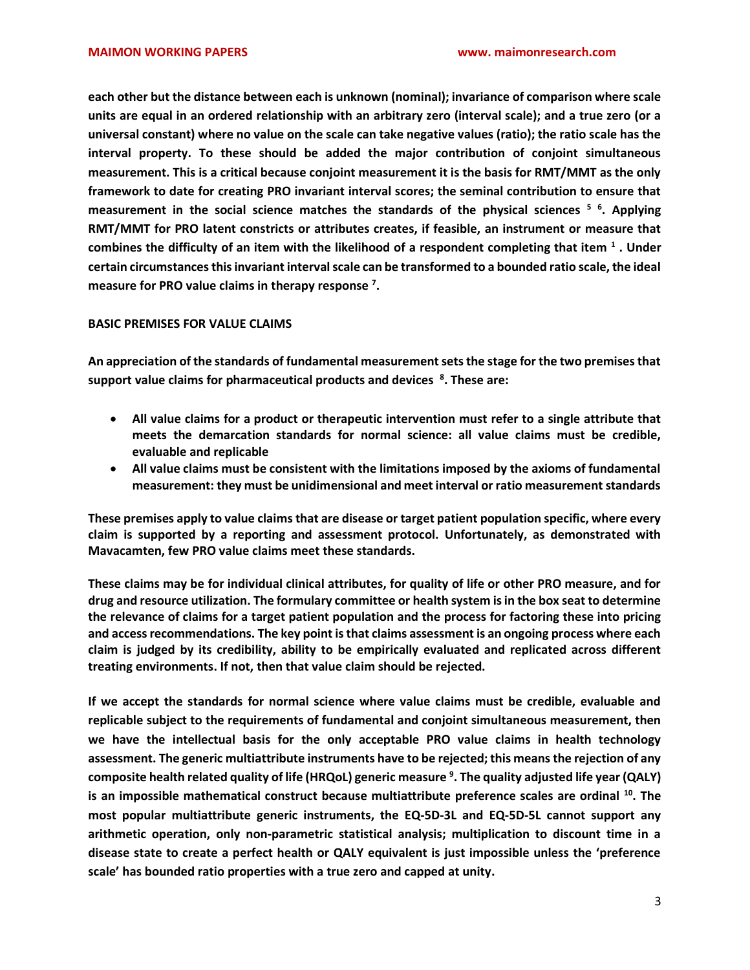each other but the distance between each is unknown (nominal); invariance of comparison where scale units are equal in an ordered relationship with an arbitrary zero (interval scale); and a true zero (or a universal constant) where no value on the scale can take negative values (ratio); the ratio scale has the interval property. To these should be added the major contribution of conjoint simultaneous measurement. This is a critical because conjoint measurement it is the basis for RMT/MMT as the only framework to date for creating PRO invariant interval scores; the seminal contribution to ensure that measurement in the social science matches the standards of the physical sciences <sup>5 6</sup>. Applying RMT/MMT for PRO latent constricts or attributes creates, if feasible, an instrument or measure that combines the difficulty of an item with the likelihood of a respondent completing that item  $^1$  . Under certain circumstances this invariant interval scale can be transformed to a bounded ratio scale, the ideal measure for PRO value claims in therapy response<sup>7</sup>.

## BASIC PREMISES FOR VALUE CLAIMS

An appreciation of the standards of fundamental measurement sets the stage for the two premises that support value claims for pharmaceutical products and devices  $8$ . These are:

- All value claims for a product or therapeutic intervention must refer to a single attribute that meets the demarcation standards for normal science: all value claims must be credible, evaluable and replicable
- All value claims must be consistent with the limitations imposed by the axioms of fundamental measurement: they must be unidimensional and meet interval or ratio measurement standards

These premises apply to value claims that are disease or target patient population specific, where every claim is supported by a reporting and assessment protocol. Unfortunately, as demonstrated with Mavacamten, few PRO value claims meet these standards.

These claims may be for individual clinical attributes, for quality of life or other PRO measure, and for drug and resource utilization. The formulary committee or health system is in the box seat to determine the relevance of claims for a target patient population and the process for factoring these into pricing and access recommendations. The key point is that claims assessment is an ongoing process where each claim is judged by its credibility, ability to be empirically evaluated and replicated across different treating environments. If not, then that value claim should be rejected.

If we accept the standards for normal science where value claims must be credible, evaluable and replicable subject to the requirements of fundamental and conjoint simultaneous measurement, then we have the intellectual basis for the only acceptable PRO value claims in health technology assessment. The generic multiattribute instruments have to be rejected; this means the rejection of any composite health related quality of life (HRQoL) generic measure <sup>9</sup>. The quality adjusted life year (QALY) is an impossible mathematical construct because multiattribute preference scales are ordinal  $^{10}$ . The most popular multiattribute generic instruments, the EQ-5D-3L and EQ-5D-5L cannot support any arithmetic operation, only non-parametric statistical analysis; multiplication to discount time in a disease state to create a perfect health or QALY equivalent is just impossible unless the 'preference scale' has bounded ratio properties with a true zero and capped at unity.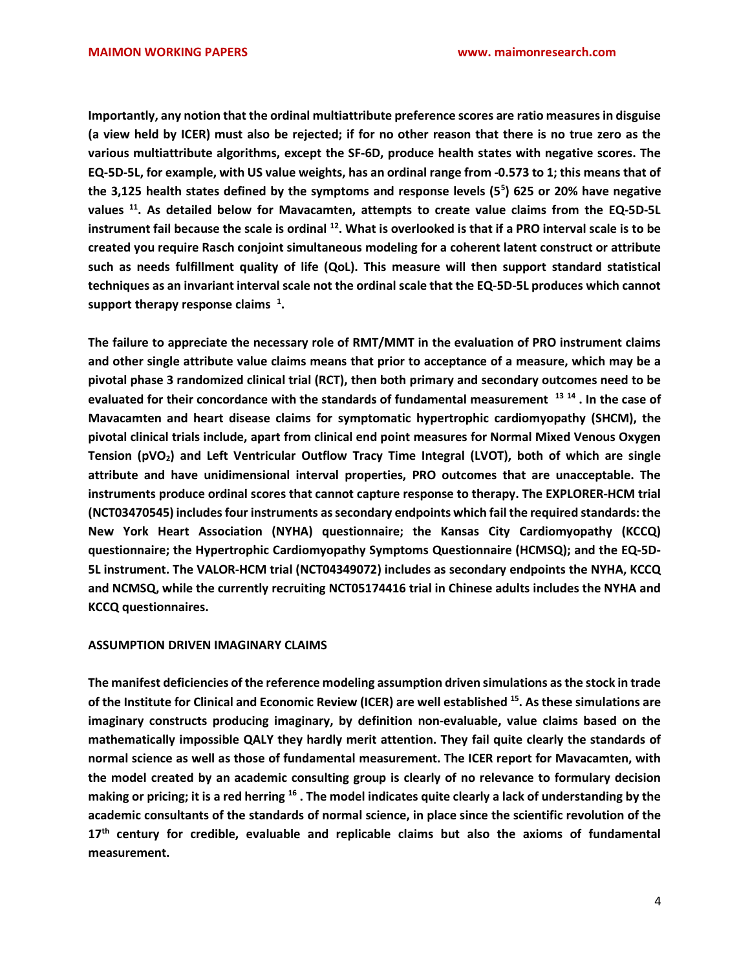Importantly, any notion that the ordinal multiattribute preference scores are ratio measures in disguise (a view held by ICER) must also be rejected; if for no other reason that there is no true zero as the various multiattribute algorithms, except the SF-6D, produce health states with negative scores. The EQ-5D-5L, for example, with US value weights, has an ordinal range from -0.573 to 1; this means that of the 3,125 health states defined by the symptoms and response levels (5 $5$ ) 625 or 20% have negative values <sup>11</sup>. As detailed below for Mavacamten, attempts to create value claims from the EQ-5D-5L instrument fail because the scale is ordinal <sup>12</sup>. What is overlooked is that if a PRO interval scale is to be created you require Rasch conjoint simultaneous modeling for a coherent latent construct or attribute such as needs fulfillment quality of life (QoL). This measure will then support standard statistical techniques as an invariant interval scale not the ordinal scale that the EQ-5D-5L produces which cannot support therapy response claims  $^1$ .

The failure to appreciate the necessary role of RMT/MMT in the evaluation of PRO instrument claims and other single attribute value claims means that prior to acceptance of a measure, which may be a pivotal phase 3 randomized clinical trial (RCT), then both primary and secondary outcomes need to be evaluated for their concordance with the standards of fundamental measurement <sup>13 14</sup>. In the case of Mavacamten and heart disease claims for symptomatic hypertrophic cardiomyopathy (SHCM), the pivotal clinical trials include, apart from clinical end point measures for Normal Mixed Venous Oxygen Tension (pVO<sub>2</sub>) and Left Ventricular Outflow Tracy Time Integral (LVOT), both of which are single attribute and have unidimensional interval properties, PRO outcomes that are unacceptable. The instruments produce ordinal scores that cannot capture response to therapy. The EXPLORER-HCM trial (NCT03470545) includes four instruments as secondary endpoints which fail the required standards: the New York Heart Association (NYHA) questionnaire; the Kansas City Cardiomyopathy (KCCQ) questionnaire; the Hypertrophic Cardiomyopathy Symptoms Questionnaire (HCMSQ); and the EQ-5D-5L instrument. The VALOR-HCM trial (NCT04349072) includes as secondary endpoints the NYHA, KCCQ and NCMSQ, while the currently recruiting NCT05174416 trial in Chinese adults includes the NYHA and KCCQ questionnaires.

# ASSUMPTION DRIVEN IMAGINARY CLAIMS

The manifest deficiencies of the reference modeling assumption driven simulations as the stock in trade of the Institute for Clinical and Economic Review (ICER) are well established <sup>15</sup>. As these simulations are imaginary constructs producing imaginary, by definition non-evaluable, value claims based on the mathematically impossible QALY they hardly merit attention. They fail quite clearly the standards of normal science as well as those of fundamental measurement. The ICER report for Mavacamten, with the model created by an academic consulting group is clearly of no relevance to formulary decision making or pricing; it is a red herring  $16$ . The model indicates quite clearly a lack of understanding by the academic consultants of the standards of normal science, in place since the scientific revolution of the 17<sup>th</sup> century for credible, evaluable and replicable claims but also the axioms of fundamental measurement.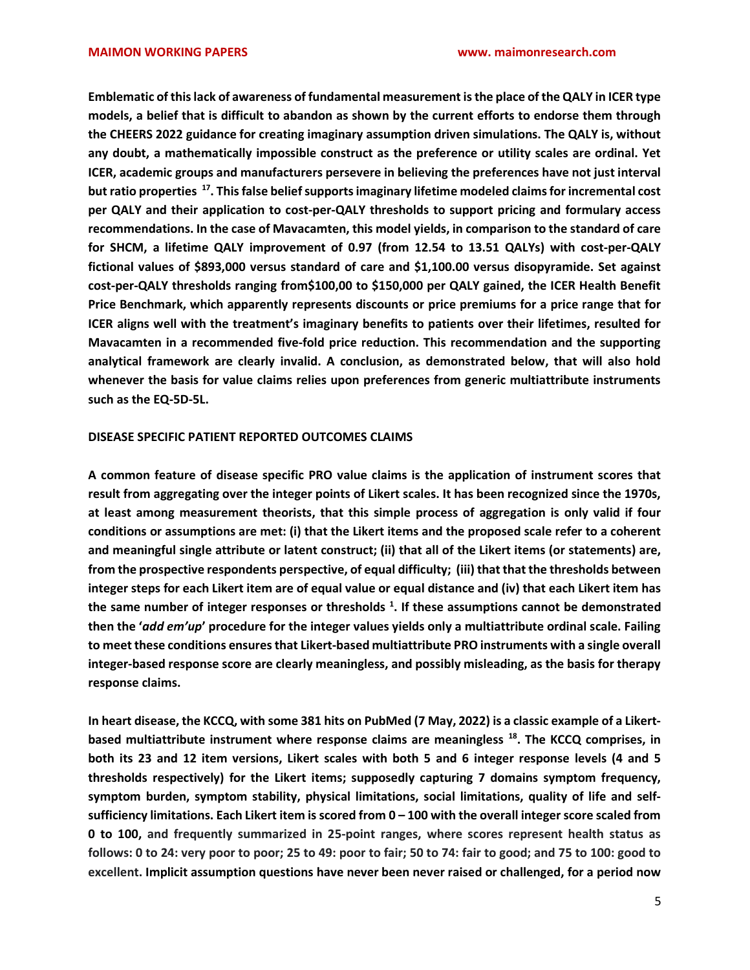Emblematic of this lack of awareness of fundamental measurement is the place of the QALY in ICER type models, a belief that is difficult to abandon as shown by the current efforts to endorse them through the CHEERS 2022 guidance for creating imaginary assumption driven simulations. The QALY is, without any doubt, a mathematically impossible construct as the preference or utility scales are ordinal. Yet ICER, academic groups and manufacturers persevere in believing the preferences have not just interval but ratio properties <sup>17</sup>. This false belief supports imaginary lifetime modeled claims for incremental cost per QALY and their application to cost-per-QALY thresholds to support pricing and formulary access recommendations. In the case of Mavacamten, this model yields, in comparison to the standard of care for SHCM, a lifetime QALY improvement of 0.97 (from 12.54 to 13.51 QALYs) with cost-per-QALY fictional values of \$893,000 versus standard of care and \$1,100.00 versus disopyramide. Set against cost-per-QALY thresholds ranging from\$100,00 to \$150,000 per QALY gained, the ICER Health Benefit Price Benchmark, which apparently represents discounts or price premiums for a price range that for ICER aligns well with the treatment's imaginary benefits to patients over their lifetimes, resulted for Mavacamten in a recommended five-fold price reduction. This recommendation and the supporting analytical framework are clearly invalid. A conclusion, as demonstrated below, that will also hold whenever the basis for value claims relies upon preferences from generic multiattribute instruments such as the EQ-5D-5L.

## DISEASE SPECIFIC PATIENT REPORTED OUTCOMES CLAIMS

A common feature of disease specific PRO value claims is the application of instrument scores that result from aggregating over the integer points of Likert scales. It has been recognized since the 1970s, at least among measurement theorists, that this simple process of aggregation is only valid if four conditions or assumptions are met: (i) that the Likert items and the proposed scale refer to a coherent and meaningful single attribute or latent construct; (ii) that all of the Likert items (or statements) are, from the prospective respondents perspective, of equal difficulty; (iii) that that the thresholds between integer steps for each Likert item are of equal value or equal distance and (iv) that each Likert item has the same number of integer responses or thresholds  $^1$ . If these assumptions cannot be demonstrated then the 'add em'up' procedure for the integer values yields only a multiattribute ordinal scale. Failing to meet these conditions ensures that Likert-based multiattribute PRO instruments with a single overall integer-based response score are clearly meaningless, and possibly misleading, as the basis for therapy response claims.

In heart disease, the KCCQ, with some 381 hits on PubMed (7 May, 2022) is a classic example of a Likertbased multiattribute instrument where response claims are meaningless <sup>18</sup>. The KCCQ comprises, in both its 23 and 12 item versions, Likert scales with both 5 and 6 integer response levels (4 and 5 thresholds respectively) for the Likert items; supposedly capturing 7 domains symptom frequency, symptom burden, symptom stability, physical limitations, social limitations, quality of life and selfsufficiency limitations. Each Likert item is scored from 0 – 100 with the overall integer score scaled from 0 to 100, and frequently summarized in 25-point ranges, where scores represent health status as follows: 0 to 24: very poor to poor; 25 to 49: poor to fair; 50 to 74: fair to good; and 75 to 100: good to excellent. Implicit assumption questions have never been never raised or challenged, for a period now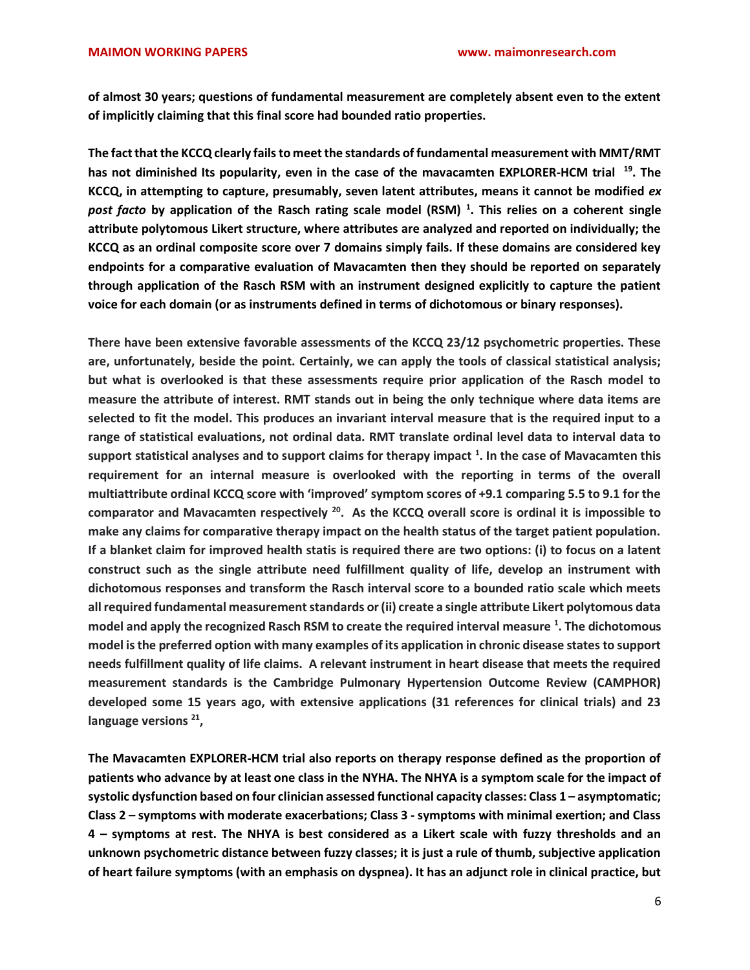of almost 30 years; questions of fundamental measurement are completely absent even to the extent of implicitly claiming that this final score had bounded ratio properties.

The fact that the KCCQ clearly fails to meet the standards of fundamental measurement with MMT/RMT has not diminished Its popularity, even in the case of the mavacamten EXPLORER-HCM trial  $19$ . The KCCQ, in attempting to capture, presumably, seven latent attributes, means it cannot be modified ex post facto by application of the Rasch rating scale model (RSM)<sup>1</sup>. This relies on a coherent single attribute polytomous Likert structure, where attributes are analyzed and reported on individually; the KCCQ as an ordinal composite score over 7 domains simply fails. If these domains are considered key endpoints for a comparative evaluation of Mavacamten then they should be reported on separately through application of the Rasch RSM with an instrument designed explicitly to capture the patient voice for each domain (or as instruments defined in terms of dichotomous or binary responses).

There have been extensive favorable assessments of the KCCQ 23/12 psychometric properties. These are, unfortunately, beside the point. Certainly, we can apply the tools of classical statistical analysis; but what is overlooked is that these assessments require prior application of the Rasch model to measure the attribute of interest. RMT stands out in being the only technique where data items are selected to fit the model. This produces an invariant interval measure that is the required input to a range of statistical evaluations, not ordinal data. RMT translate ordinal level data to interval data to support statistical analyses and to support claims for therapy impact  $^1$ . In the case of Mavacamten this requirement for an internal measure is overlooked with the reporting in terms of the overall multiattribute ordinal KCCQ score with 'improved' symptom scores of +9.1 comparing 5.5 to 9.1 for the comparator and Mavacamten respectively  $^{20}$ . As the KCCQ overall score is ordinal it is impossible to make any claims for comparative therapy impact on the health status of the target patient population. If a blanket claim for improved health statis is required there are two options: (i) to focus on a latent construct such as the single attribute need fulfillment quality of life, develop an instrument with dichotomous responses and transform the Rasch interval score to a bounded ratio scale which meets all required fundamental measurement standards or (ii) create a single attribute Likert polytomous data model and apply the recognized Rasch RSM to create the required interval measure <sup>1</sup>. The dichotomous model is the preferred option with many examples of its application in chronic disease states to support needs fulfillment quality of life claims. A relevant instrument in heart disease that meets the required measurement standards is the Cambridge Pulmonary Hypertension Outcome Review (CAMPHOR) developed some 15 years ago, with extensive applications (31 references for clinical trials) and 23 language versions<sup>21</sup>,

The Mavacamten EXPLORER-HCM trial also reports on therapy response defined as the proportion of patients who advance by at least one class in the NYHA. The NHYA is a symptom scale for the impact of systolic dysfunction based on four clinician assessed functional capacity classes: Class 1 – asymptomatic; Class 2 – symptoms with moderate exacerbations; Class 3 - symptoms with minimal exertion; and Class 4 – symptoms at rest. The NHYA is best considered as a Likert scale with fuzzy thresholds and an unknown psychometric distance between fuzzy classes; it is just a rule of thumb, subjective application of heart failure symptoms (with an emphasis on dyspnea). It has an adjunct role in clinical practice, but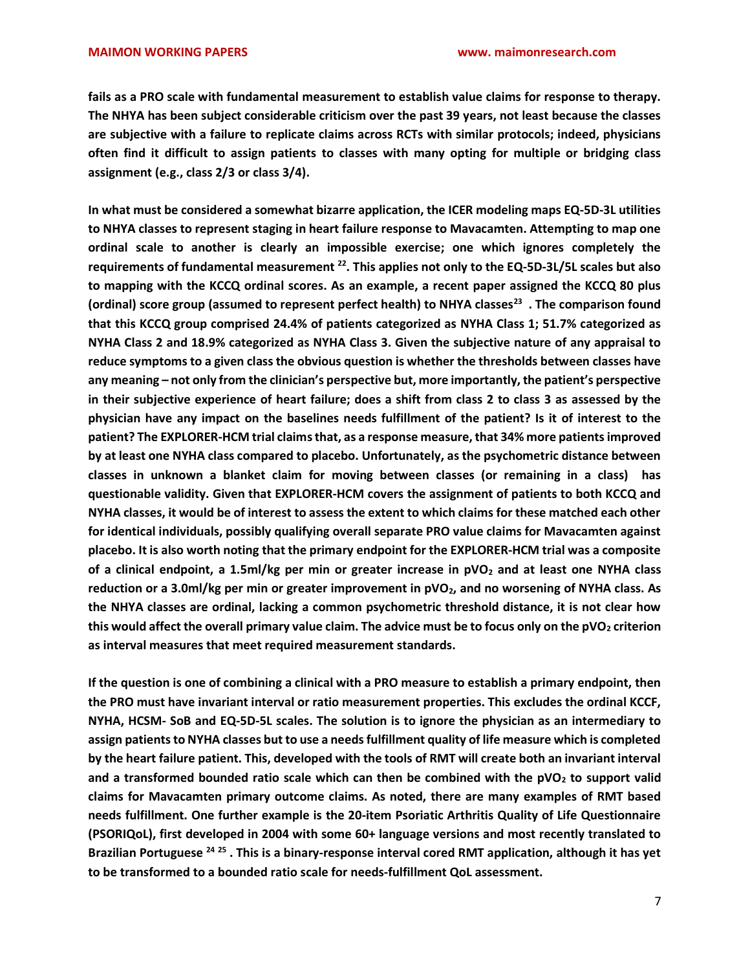fails as a PRO scale with fundamental measurement to establish value claims for response to therapy. The NHYA has been subject considerable criticism over the past 39 years, not least because the classes are subjective with a failure to replicate claims across RCTs with similar protocols; indeed, physicians often find it difficult to assign patients to classes with many opting for multiple or bridging class assignment (e.g., class 2/3 or class 3/4).

In what must be considered a somewhat bizarre application, the ICER modeling maps EQ-5D-3L utilities to NHYA classes to represent staging in heart failure response to Mavacamten. Attempting to map one ordinal scale to another is clearly an impossible exercise; one which ignores completely the requirements of fundamental measurement <sup>22</sup>. This applies not only to the EQ-5D-3L/5L scales but also to mapping with the KCCQ ordinal scores. As an example, a recent paper assigned the KCCQ 80 plus (ordinal) score group (assumed to represent perfect health) to NHYA classes<sup>23</sup>. The comparison found that this KCCQ group comprised 24.4% of patients categorized as NYHA Class 1; 51.7% categorized as NYHA Class 2 and 18.9% categorized as NYHA Class 3. Given the subjective nature of any appraisal to reduce symptoms to a given class the obvious question is whether the thresholds between classes have any meaning – not only from the clinician's perspective but, more importantly, the patient's perspective in their subjective experience of heart failure; does a shift from class 2 to class 3 as assessed by the physician have any impact on the baselines needs fulfillment of the patient? Is it of interest to the patient? The EXPLORER-HCM trial claims that, as a response measure, that 34% more patients improved by at least one NYHA class compared to placebo. Unfortunately, as the psychometric distance between classes in unknown a blanket claim for moving between classes (or remaining in a class) has questionable validity. Given that EXPLORER-HCM covers the assignment of patients to both KCCQ and NYHA classes, it would be of interest to assess the extent to which claims for these matched each other for identical individuals, possibly qualifying overall separate PRO value claims for Mavacamten against placebo. It is also worth noting that the primary endpoint for the EXPLORER-HCM trial was a composite of a clinical endpoint, a 1.5ml/kg per min or greater increase in  $pVO<sub>2</sub>$  and at least one NYHA class reduction or a 3.0ml/kg per min or greater improvement in  $pVO<sub>2</sub>$ , and no worsening of NYHA class. As the NHYA classes are ordinal, lacking a common psychometric threshold distance, it is not clear how this would affect the overall primary value claim. The advice must be to focus only on the  $pVO<sub>2</sub>$  criterion as interval measures that meet required measurement standards.

If the question is one of combining a clinical with a PRO measure to establish a primary endpoint, then the PRO must have invariant interval or ratio measurement properties. This excludes the ordinal KCCF, NYHA, HCSM- SoB and EQ-5D-5L scales. The solution is to ignore the physician as an intermediary to assign patients to NYHA classes but to use a needs fulfillment quality of life measure which is completed by the heart failure patient. This, developed with the tools of RMT will create both an invariant interval and a transformed bounded ratio scale which can then be combined with the  $pVO<sub>2</sub>$  to support valid claims for Mavacamten primary outcome claims. As noted, there are many examples of RMT based needs fulfillment. One further example is the 20-item Psoriatic Arthritis Quality of Life Questionnaire (PSORIQoL), first developed in 2004 with some 60+ language versions and most recently translated to Brazilian Portuguese <sup>24 25</sup> . This is a binary-response interval cored RMT application, although it has yet to be transformed to a bounded ratio scale for needs-fulfillment QoL assessment.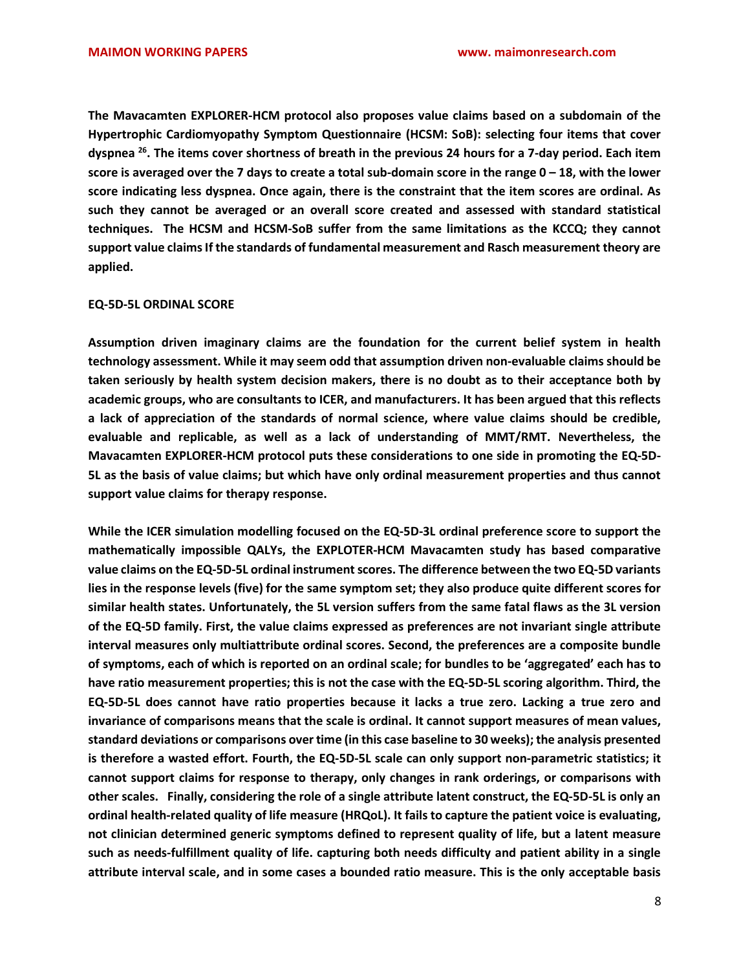The Mavacamten EXPLORER-HCM protocol also proposes value claims based on a subdomain of the Hypertrophic Cardiomyopathy Symptom Questionnaire (HCSM: SoB): selecting four items that cover dyspnea <sup>26</sup>. The items cover shortness of breath in the previous 24 hours for a 7-day period. Each item score is averaged over the 7 days to create a total sub-domain score in the range  $0 - 18$ , with the lower score indicating less dyspnea. Once again, there is the constraint that the item scores are ordinal. As such they cannot be averaged or an overall score created and assessed with standard statistical techniques. The HCSM and HCSM-SoB suffer from the same limitations as the KCCQ; they cannot support value claims If the standards of fundamental measurement and Rasch measurement theory are applied.

### EQ-5D-5L ORDINAL SCORE

Assumption driven imaginary claims are the foundation for the current belief system in health technology assessment. While it may seem odd that assumption driven non-evaluable claims should be taken seriously by health system decision makers, there is no doubt as to their acceptance both by academic groups, who are consultants to ICER, and manufacturers. It has been argued that this reflects a lack of appreciation of the standards of normal science, where value claims should be credible, evaluable and replicable, as well as a lack of understanding of MMT/RMT. Nevertheless, the Mavacamten EXPLORER-HCM protocol puts these considerations to one side in promoting the EQ-5D-5L as the basis of value claims; but which have only ordinal measurement properties and thus cannot support value claims for therapy response.

While the ICER simulation modelling focused on the EQ-5D-3L ordinal preference score to support the mathematically impossible QALYs, the EXPLOTER-HCM Mavacamten study has based comparative value claims on the EQ-5D-5L ordinal instrument scores. The difference between the two EQ-5D variants lies in the response levels (five) for the same symptom set; they also produce quite different scores for similar health states. Unfortunately, the 5L version suffers from the same fatal flaws as the 3L version of the EQ-5D family. First, the value claims expressed as preferences are not invariant single attribute interval measures only multiattribute ordinal scores. Second, the preferences are a composite bundle of symptoms, each of which is reported on an ordinal scale; for bundles to be 'aggregated' each has to have ratio measurement properties; this is not the case with the EQ-5D-5L scoring algorithm. Third, the EQ-5D-5L does cannot have ratio properties because it lacks a true zero. Lacking a true zero and invariance of comparisons means that the scale is ordinal. It cannot support measures of mean values, standard deviations or comparisons over time (in this case baseline to 30 weeks); the analysis presented is therefore a wasted effort. Fourth, the EQ-5D-5L scale can only support non-parametric statistics; it cannot support claims for response to therapy, only changes in rank orderings, or comparisons with other scales. Finally, considering the role of a single attribute latent construct, the EQ-5D-5L is only an ordinal health-related quality of life measure (HRQoL). It fails to capture the patient voice is evaluating, not clinician determined generic symptoms defined to represent quality of life, but a latent measure such as needs-fulfillment quality of life. capturing both needs difficulty and patient ability in a single attribute interval scale, and in some cases a bounded ratio measure. This is the only acceptable basis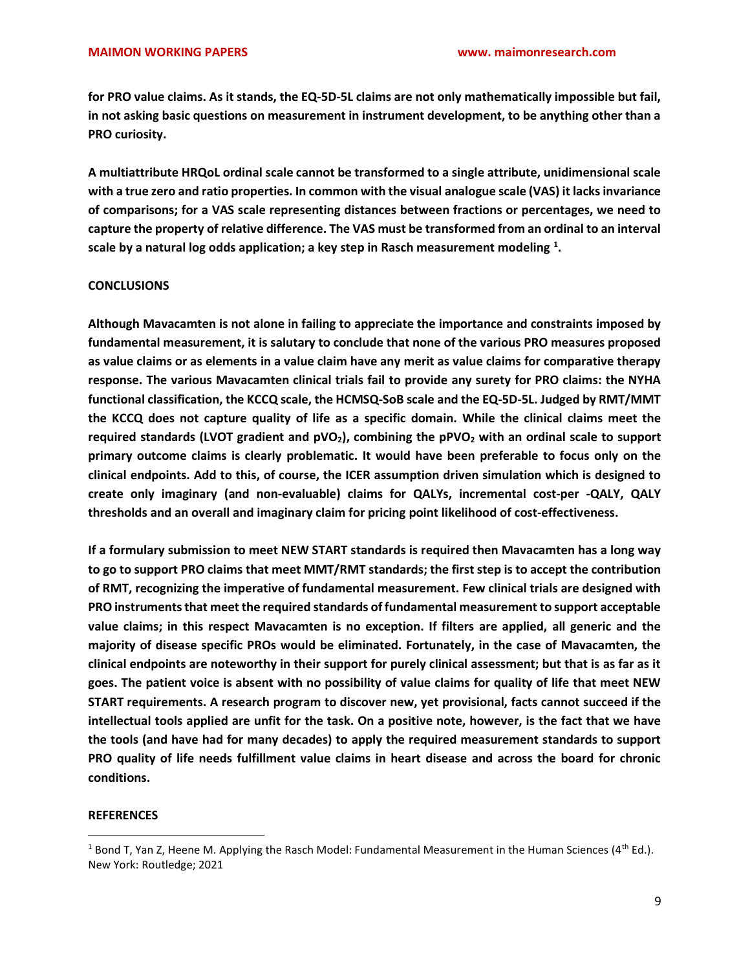for PRO value claims. As it stands, the EQ-5D-5L claims are not only mathematically impossible but fail, in not asking basic questions on measurement in instrument development, to be anything other than a PRO curiosity.

A multiattribute HRQoL ordinal scale cannot be transformed to a single attribute, unidimensional scale with a true zero and ratio properties. In common with the visual analogue scale (VAS) it lacks invariance of comparisons; for a VAS scale representing distances between fractions or percentages, we need to capture the property of relative difference. The VAS must be transformed from an ordinal to an interval scale by a natural log odds application; a key step in Rasch measurement modeling  $^{1}$ .

# **CONCLUSIONS**

Although Mavacamten is not alone in failing to appreciate the importance and constraints imposed by fundamental measurement, it is salutary to conclude that none of the various PRO measures proposed as value claims or as elements in a value claim have any merit as value claims for comparative therapy response. The various Mavacamten clinical trials fail to provide any surety for PRO claims: the NYHA functional classification, the KCCQ scale, the HCMSQ-SoB scale and the EQ-5D-5L. Judged by RMT/MMT the KCCQ does not capture quality of life as a specific domain. While the clinical claims meet the required standards (LVOT gradient and  $pVO<sub>2</sub>$ ), combining the  $pVO<sub>2</sub>$  with an ordinal scale to support primary outcome claims is clearly problematic. It would have been preferable to focus only on the clinical endpoints. Add to this, of course, the ICER assumption driven simulation which is designed to create only imaginary (and non-evaluable) claims for QALYs, incremental cost-per -QALY, QALY thresholds and an overall and imaginary claim for pricing point likelihood of cost-effectiveness.

If a formulary submission to meet NEW START standards is required then Mavacamten has a long way to go to support PRO claims that meet MMT/RMT standards; the first step is to accept the contribution of RMT, recognizing the imperative of fundamental measurement. Few clinical trials are designed with PRO instruments that meet the required standards of fundamental measurement to support acceptable value claims; in this respect Mavacamten is no exception. If filters are applied, all generic and the majority of disease specific PROs would be eliminated. Fortunately, in the case of Mavacamten, the clinical endpoints are noteworthy in their support for purely clinical assessment; but that is as far as it goes. The patient voice is absent with no possibility of value claims for quality of life that meet NEW START requirements. A research program to discover new, yet provisional, facts cannot succeed if the intellectual tools applied are unfit for the task. On a positive note, however, is the fact that we have the tools (and have had for many decades) to apply the required measurement standards to support PRO quality of life needs fulfillment value claims in heart disease and across the board for chronic conditions.

# **REFERENCES**

<sup>&</sup>lt;sup>1</sup> Bond T, Yan Z, Heene M. Applying the Rasch Model: Fundamental Measurement in the Human Sciences (4<sup>th</sup> Ed.). New York: Routledge; 2021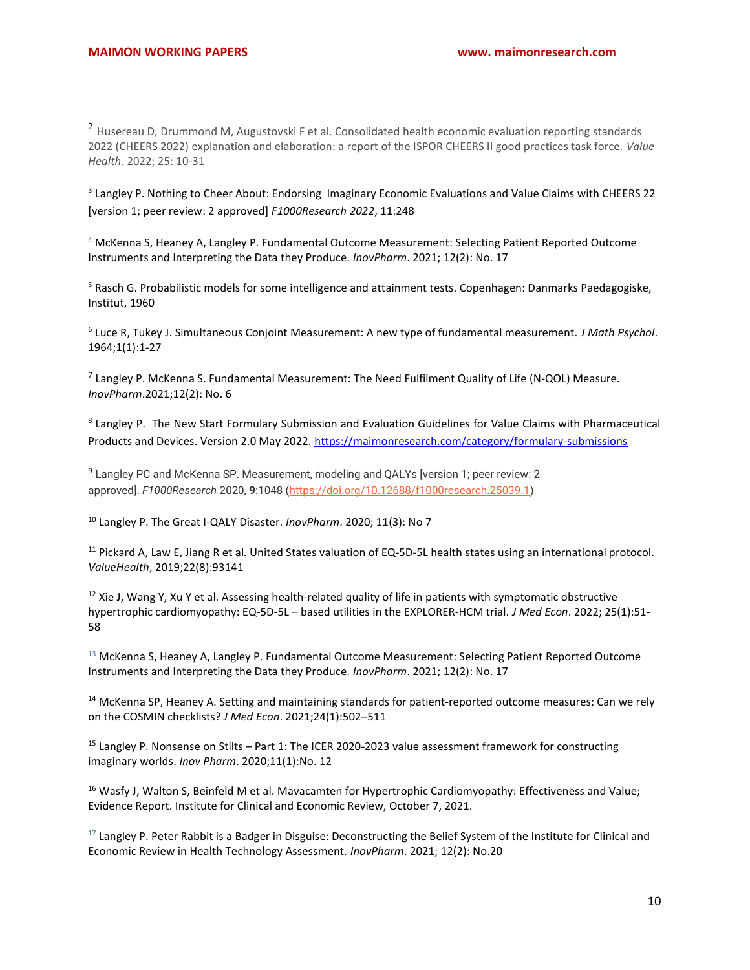<sup>2</sup> Husereau D, Drummond M, Augustovski F et al. Consolidated health economic evaluation reporting standards 2022 (CHEERS 2022) explanation and elaboration: a report of the ISPOR CHEERS II good practices task force. Value Health. 2022; 25: 10-31

<sup>3</sup> Langley P. Nothing to Cheer About: Endorsing Imaginary Economic Evaluations and Value Claims with CHEERS 22 [version 1; peer review: 2 approved] F1000Research 2022, 11:248

<sup>4</sup> McKenna S, Heaney A, Langley P. Fundamental Outcome Measurement: Selecting Patient Reported Outcome Instruments and Interpreting the Data they Produce. InovPharm. 2021; 12(2): No. 17

<sup>5</sup> Rasch G. Probabilistic models for some intelligence and attainment tests. Copenhagen: Danmarks Paedagogiske, Institut, 1960

<sup>6</sup> Luce R, Tukey J. Simultaneous Conjoint Measurement: A new type of fundamental measurement. J Math Psychol. 1964;1(1):1-27

 $7$  Langley P. McKenna S. Fundamental Measurement: The Need Fulfilment Quality of Life (N-QOL) Measure. InovPharm.2021;12(2): No. 6

<sup>8</sup> Langley P. The New Start Formulary Submission and Evaluation Guidelines for Value Claims with Pharmaceutical Products and Devices. Version 2.0 May 2022. https://maimonresearch.com/category/formulary-submissions

<sup>9</sup> Langley PC and McKenna SP. Measurement, modeling and QALYs [version 1; peer review: 2 approved]. F1000Research 2020, 9:1048 (https://doi.org/10.12688/f1000research.25039.1)

<sup>10</sup> Langley P. The Great I-QALY Disaster. InovPharm. 2020; 11(3): No 7

 $11$  Pickard A, Law E, Jiang R et al. United States valuation of EQ-5D-5L health states using an international protocol. ValueHealth, 2019;22(8):93141

 $12$  Xie J, Wang Y, Xu Y et al. Assessing health-related quality of life in patients with symptomatic obstructive hypertrophic cardiomyopathy: EQ-5D-5L - based utilities in the EXPLORER-HCM trial. J Med Econ. 2022; 25(1):51-58

<sup>13</sup> McKenna S, Heaney A, Langley P. Fundamental Outcome Measurement: Selecting Patient Reported Outcome Instruments and Interpreting the Data they Produce. InovPharm. 2021; 12(2): No. 17

<sup>14</sup> McKenna SP, Heaney A. Setting and maintaining standards for patient-reported outcome measures: Can we rely on the COSMIN checklists? J Med Econ. 2021;24(1):502–511

<sup>15</sup> Langley P. Nonsense on Stilts – Part 1: The ICER 2020-2023 value assessment framework for constructing imaginary worlds. Inov Pharm. 2020;11(1):No. 12

<sup>16</sup> Wasfy J, Walton S, Beinfeld M et al. Mavacamten for Hypertrophic Cardiomyopathy: Effectiveness and Value; Evidence Report. Institute for Clinical and Economic Review, October 7, 2021.

 $17$  Langley P. Peter Rabbit is a Badger in Disguise: Deconstructing the Belief System of the Institute for Clinical and Economic Review in Health Technology Assessment. InovPharm. 2021; 12(2): No.20